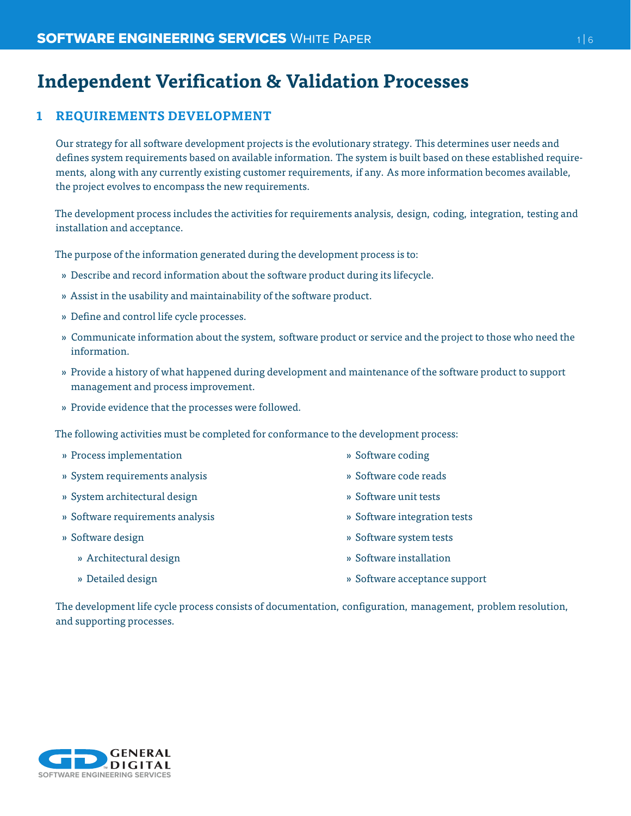# **Independent Verification & Validation Processes**

# **1 REQUIREMENTS DEVELOPMENT**

Our strategy for all software development projects is the evolutionary strategy. This determines user needs and defines system requirements based on available information. The system is built based on these established requirements, along with any currently existing customer requirements, if any. As more information becomes available, the project evolves to encompass the new requirements.

The development process includes the activities for requirements analysis, design, coding, integration, testing and installation and acceptance.

The purpose of the information generated during the development process is to:

- » Describe and record information about the software product during its lifecycle.
- » Assist in the usability and maintainability of the software product.
- » Define and control life cycle processes.
- » Communicate information about the system, software product or service and the project to those who need the information.
- » Provide a history of what happened during development and maintenance of the software product to support management and process improvement.
- » Provide evidence that the processes were followed.

The following activities must be completed for conformance to the development process:

- » Process implementation
- » System requirements analysis
- » System architectural design
- » Software requirements analysis
- » Software design
	- » Architectural design
- » Software coding
- » Software code reads
- » Software unit tests
- » Software integration tests
- » Software system tests
- » Software installation

» Detailed design

» Software acceptance support

The development life cycle process consists of documentation, configuration, management, problem resolution, and supporting processes.

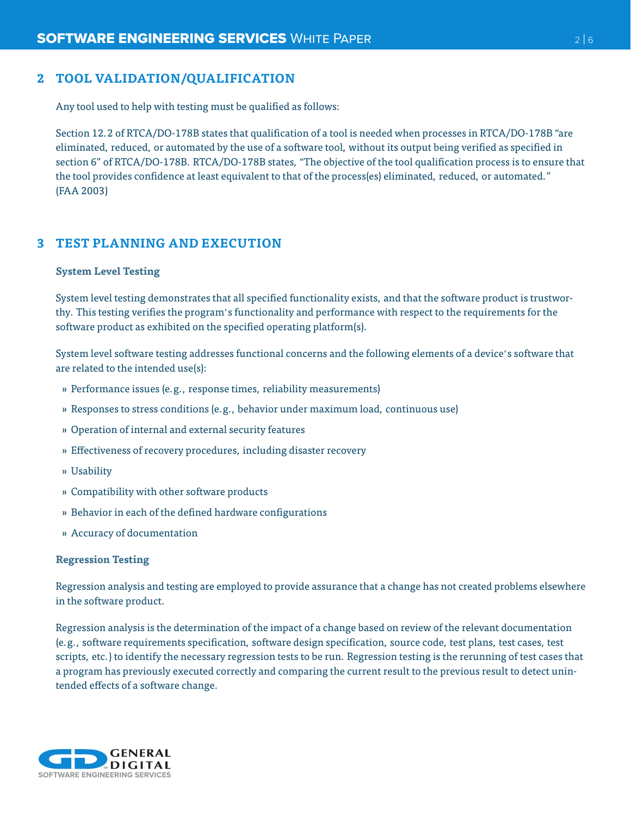## **2 TOOL VALIDATION/QUALIFICATION**

Any tool used to help with testing must be qualified as follows:

Section 12.2 of RTCA/DO-178B states that qualification of a tool is needed when processes in RTCA/DO-178B "are eliminated, reduced, or automated by the use of a software tool, without its output being verified as specified in section 6" of RTCA/DO-178B. RTCA/DO-178B states, "The objective of the tool qualification process is to ensure that the tool provides confidence at least equivalent to that of the process(es) eliminated, reduced, or automated." (FAA 2003)

# **3 TEST PLANNING AND EXECUTION**

#### **System Level Testing**

System level testing demonstrates that all specified functionality exists, and that the software product is trustworthy. This testing verifies the program's functionality and performance with respect to the requirements for the software product as exhibited on the specified operating platform(s).

System level software testing addresses functional concerns and the following elements of a device's software that are related to the intended use(s):

- » Performance issues (e.g., response times, reliability measurements)
- » Responses to stress conditions (e.g., behavior under maximum load, continuous use)
- » Operation of internal and external security features
- » Effectiveness of recovery procedures, including disaster recovery
- » Usability
- » Compatibility with other software products
- » Behavior in each of the defined hardware configurations
- » Accuracy of documentation

#### **Regression Testing**

Regression analysis and testing are employed to provide assurance that a change has not created problems elsewhere in the software product.

Regression analysis is the determination of the impact of a change based on review of the relevant documentation (e.g., software requirements specification, software design specification, source code, test plans, test cases, test scripts, etc.) to identify the necessary regression tests to be run. Regression testing is the rerunning of test cases that a program has previously executed correctly and comparing the current result to the previous result to detect unintended effects of a software change.

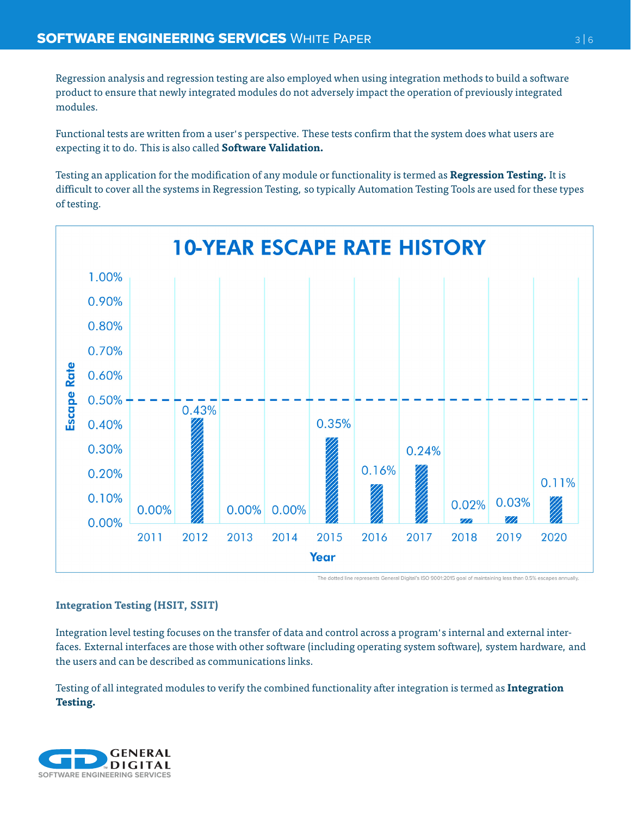Regression analysis and regression testing are also employed when using integration methods to build a software product to ensure that newly integrated modules do not adversely impact the operation of previously integrated modules.

Functional tests are written from a user's perspective. These tests confirm that the system does what users are expecting it to do. This is also called **Software Validation.**

Testing an application for the modification of any module or functionality is termed as **Regression Testing.** It is difficult to cover all the systems in Regression Testing, so typically Automation Testing Tools are used for these types of testing.



The dotted line represents General Digital's ISO 9001:2015 goal of maintaining less than 0.5% escapes annually.

# **Integration Testing (HSIT, SSIT)**

Integration level testing focuses on the transfer of data and control across a program's internal and external interfaces. External interfaces are those with other software (including operating system software), system hardware, and the users and can be described as communications links.

Testing of all integrated modules to verify the combined functionality after integration is termed as **Integration Testing.**

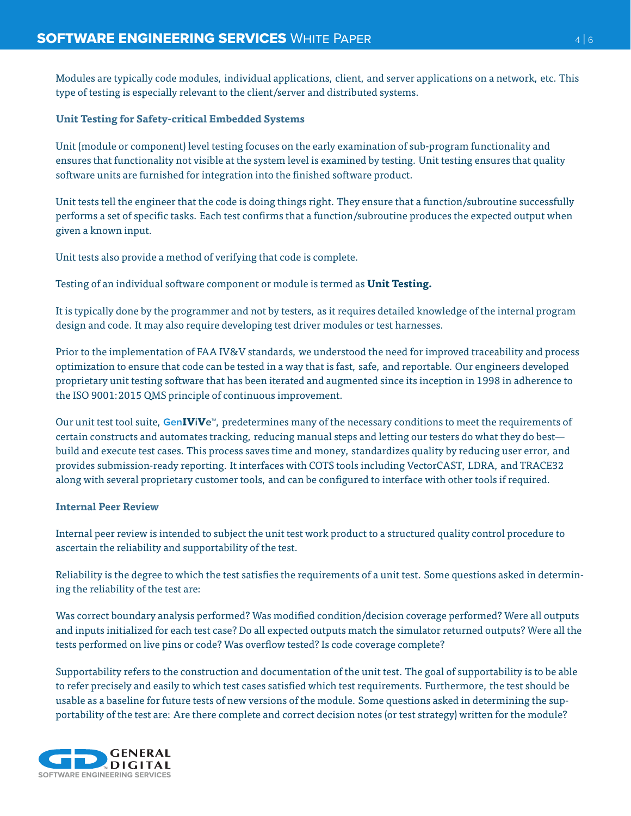Modules are typically code modules, individual applications, client, and server applications on a network, etc. This type of testing is especially relevant to the client/server and distributed systems.

## **Unit Testing for Safety-critical Embedded Systems**

Unit (module or component) level testing focuses on the early examination of sub-program functionality and ensures that functionality not visible at the system level is examined by testing. Unit testing ensures that quality software units are furnished for integration into the finished software product.

Unit tests tell the engineer that the code is doing things right. They ensure that a function/subroutine successfully performs a set of specific tasks. Each test confirms that a function/subroutine produces the expected output when given a known input.

Unit tests also provide a method of verifying that code is complete.

Testing of an individual software component or module is termed as **Unit Testing.**

It is typically done by the programmer and not by testers, as it requires detailed knowledge of the internal program design and code. It may also require developing test driver modules or test harnesses.

Prior to the implementation of FAA IV&V standards, we understood the need for improved traceability and process optimization to ensure that code can be tested in a way that is fast, safe, and reportable. Our engineers developed proprietary unit testing software that has been iterated and augmented since its inception in 1998 in adherence to the ISO 9001:2015 QMS principle of continuous improvement.

Our unit test tool suite, **GenIViVe™**, predetermines many of the necessary conditions to meet the requirements of certain constructs and automates tracking, reducing manual steps and letting our testers do what they do best build and execute test cases. This process saves time and money, standardizes quality by reducing user error, and provides submission-ready reporting. It interfaces with COTS tools including VectorCAST, LDRA, and TRACE32 along with several proprietary customer tools, and can be configured to interface with other tools if required.

#### **Internal Peer Review**

Internal peer review is intended to subject the unit test work product to a structured quality control procedure to ascertain the reliability and supportability of the test.

Reliability is the degree to which the test satisfies the requirements of a unit test. Some questions asked in determining the reliability of the test are:

Was correct boundary analysis performed? Was modified condition/decision coverage performed? Were all outputs and inputs initialized for each test case? Do all expected outputs match the simulator returned outputs? Were all the tests performed on live pins or code? Was overflow tested? Is code coverage complete?

Supportability refers to the construction and documentation of the unit test. The goal of supportability is to be able to refer precisely and easily to which test cases satisfied which test requirements. Furthermore, the test should be usable as a baseline for future tests of new versions of the module. Some questions asked in determining the supportability of the test are: Are there complete and correct decision notes (or test strategy) written for the module?

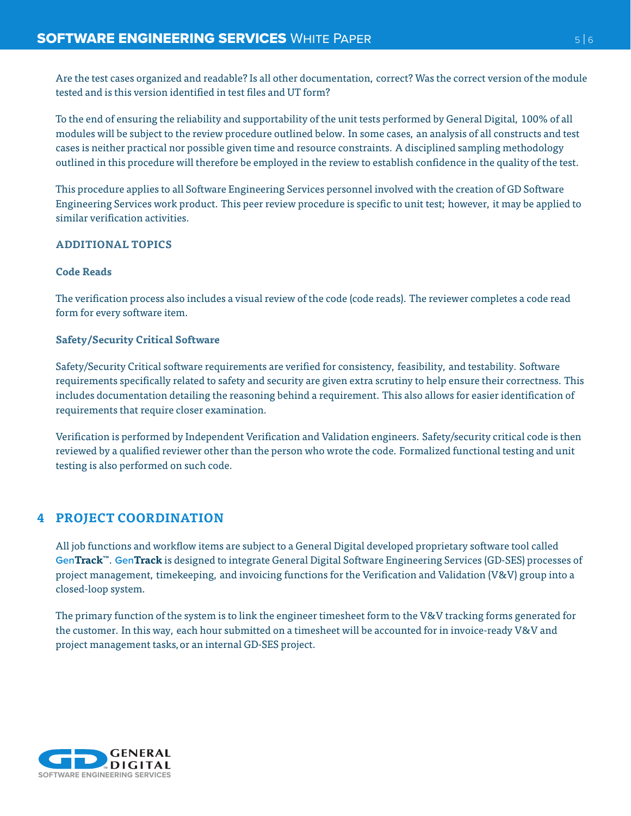Are the test cases organized and readable? Is all other documentation, correct? Was the correct version of the module tested and is this version identified in test files and UT form?

To the end of ensuring the reliability and supportability of the unit tests performed by General Digital, 100% of all modules will be subject to the review procedure outlined below. In some cases, an analysis of all constructs and test cases is neither practical nor possible given time and resource constraints. A disciplined sampling methodology outlined in this procedure will therefore be employed in the review to establish confidence in the quality of the test.

This procedure applies to all Software Engineering Services personnel involved with the creation of GD Software Engineering Services work product. This peer review procedure is specific to unit test; however, it may be applied to similar verification activities.

## **ADDITIONAL TOPICS**

## **Code Reads**

The verification process also includes a visual review of the code (code reads). The reviewer completes a code read form for every software item.

## **Safety/Security Critical Software**

Safety/Security Critical software requirements are verified for consistency, feasibility, and testability. Software requirements specifically related to safety and security are given extra scrutiny to help ensure their correctness. This includes documentation detailing the reasoning behind a requirement. This also allows for easier identification of requirements that require closer examination.

Verification is performed by Independent Verification and Validation engineers. Safety/security critical code is then reviewed by a qualified reviewer other than the person who wrote the code. Formalized functional testing and unit testing is also performed on such code.

# **4 PROJECT COORDINATION**

All job functions and workflow items are subject to a General Digital developed proprietary software tool called **GenTrack™**. **GenTrack** is designed to integrate General Digital Software Engineering Services (GD-SES) processes of project management, timekeeping, and invoicing functions for the Verification and Validation (V&V) group into a closed-loop system.

The primary function of the system is to link the engineer timesheet form to the V&V tracking forms generated for the customer. In this way, each hour submitted on a timesheet will be accounted for in invoice-ready V&V and project management tasks,or an internal GD-SES project.